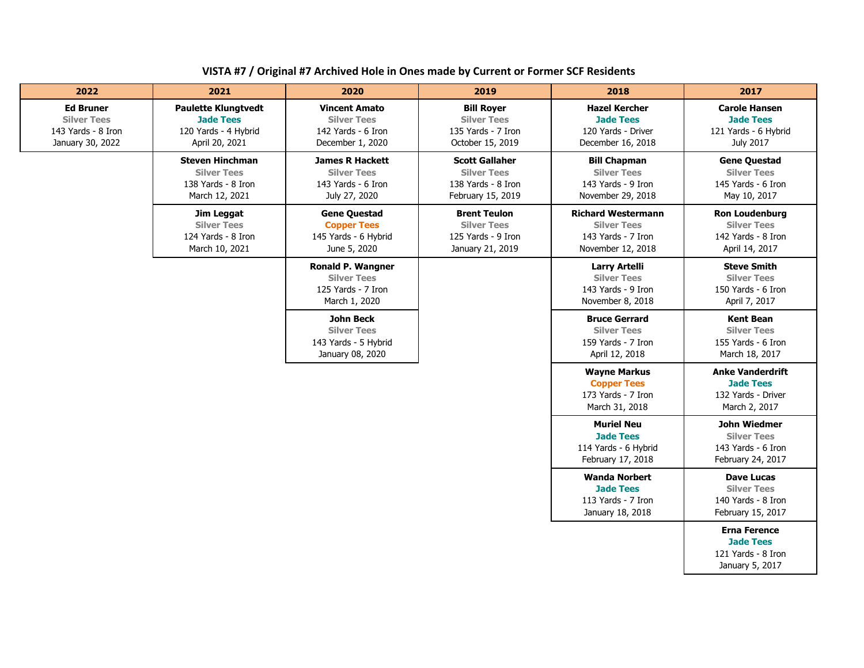| VISTA #7 / Original #7 Archived Hole in Ones made by Current or Former SCF Residents |
|--------------------------------------------------------------------------------------|
|--------------------------------------------------------------------------------------|

| 2022                                                                             | 2021                                                                                     | 2020                                                                                  | 2019                                                                                   | 2018                                                                                       | 2017                                                                                 |
|----------------------------------------------------------------------------------|------------------------------------------------------------------------------------------|---------------------------------------------------------------------------------------|----------------------------------------------------------------------------------------|--------------------------------------------------------------------------------------------|--------------------------------------------------------------------------------------|
| <b>Ed Bruner</b><br><b>Silver Tees</b><br>143 Yards - 8 Iron<br>January 30, 2022 | <b>Paulette Klungtvedt</b><br><b>Jade Tees</b><br>120 Yards - 4 Hybrid<br>April 20, 2021 | <b>Vincent Amato</b><br><b>Silver Tees</b><br>142 Yards - 6 Iron<br>December 1, 2020  | <b>Bill Royer</b><br><b>Silver Tees</b><br>135 Yards - 7 Iron<br>October 15, 2019      | <b>Hazel Kercher</b><br><b>Jade Tees</b><br>120 Yards - Driver<br>December 16, 2018        | <b>Carole Hansen</b><br><b>Jade Tees</b><br>121 Yards - 6 Hybrid<br>July 2017        |
|                                                                                  | <b>Steven Hinchman</b><br><b>Silver Tees</b><br>138 Yards - 8 Iron<br>March 12, 2021     | <b>James R Hackett</b><br><b>Silver Tees</b><br>143 Yards - 6 Iron<br>July 27, 2020   | <b>Scott Gallaher</b><br><b>Silver Tees</b><br>138 Yards - 8 Iron<br>February 15, 2019 | <b>Bill Chapman</b><br><b>Silver Tees</b><br>143 Yards - 9 Iron<br>November 29, 2018       | <b>Gene Questad</b><br><b>Silver Tees</b><br>145 Yards - 6 Iron<br>May 10, 2017      |
|                                                                                  | Jim Leggat<br><b>Silver Tees</b><br>124 Yards - 8 Iron<br>March 10, 2021                 | <b>Gene Questad</b><br><b>Copper Tees</b><br>145 Yards - 6 Hybrid<br>June 5, 2020     | <b>Brent Teulon</b><br><b>Silver Tees</b><br>125 Yards - 9 Iron<br>January 21, 2019    | <b>Richard Westermann</b><br><b>Silver Tees</b><br>143 Yards - 7 Iron<br>November 12, 2018 | <b>Ron Loudenburg</b><br><b>Silver Tees</b><br>142 Yards - 8 Iron<br>April 14, 2017  |
|                                                                                  |                                                                                          | <b>Ronald P. Wangner</b><br><b>Silver Tees</b><br>125 Yards - 7 Iron<br>March 1, 2020 |                                                                                        | <b>Larry Artelli</b><br><b>Silver Tees</b><br>143 Yards - 9 Iron<br>November 8, 2018       | <b>Steve Smith</b><br><b>Silver Tees</b><br>150 Yards - 6 Iron<br>April 7, 2017      |
|                                                                                  |                                                                                          | <b>John Beck</b><br><b>Silver Tees</b><br>143 Yards - 5 Hybrid<br>January 08, 2020    |                                                                                        | <b>Bruce Gerrard</b><br><b>Silver Tees</b><br>159 Yards - 7 Iron<br>April 12, 2018         | <b>Kent Bean</b><br><b>Silver Tees</b><br>155 Yards - 6 Iron<br>March 18, 2017       |
|                                                                                  |                                                                                          |                                                                                       |                                                                                        | <b>Wayne Markus</b><br><b>Copper Tees</b><br>173 Yards - 7 Iron<br>March 31, 2018          | <b>Anke Vanderdrift</b><br><b>Jade Tees</b><br>132 Yards - Driver<br>March 2, 2017   |
|                                                                                  |                                                                                          |                                                                                       |                                                                                        | <b>Muriel Neu</b><br><b>Jade Tees</b><br>114 Yards - 6 Hybrid<br>February 17, 2018         | <b>John Wiedmer</b><br><b>Silver Tees</b><br>143 Yards - 6 Iron<br>February 24, 2017 |
|                                                                                  |                                                                                          |                                                                                       |                                                                                        | <b>Wanda Norbert</b><br><b>Jade Tees</b><br>113 Yards - 7 Iron<br>January 18, 2018         | <b>Dave Lucas</b><br><b>Silver Tees</b><br>140 Yards - 8 Iron<br>February 15, 2017   |
|                                                                                  |                                                                                          |                                                                                       |                                                                                        |                                                                                            | <b>Erna Ference</b><br><b>Jade Tees</b><br>121 Yards - 8 Iron<br>January 5, 2017     |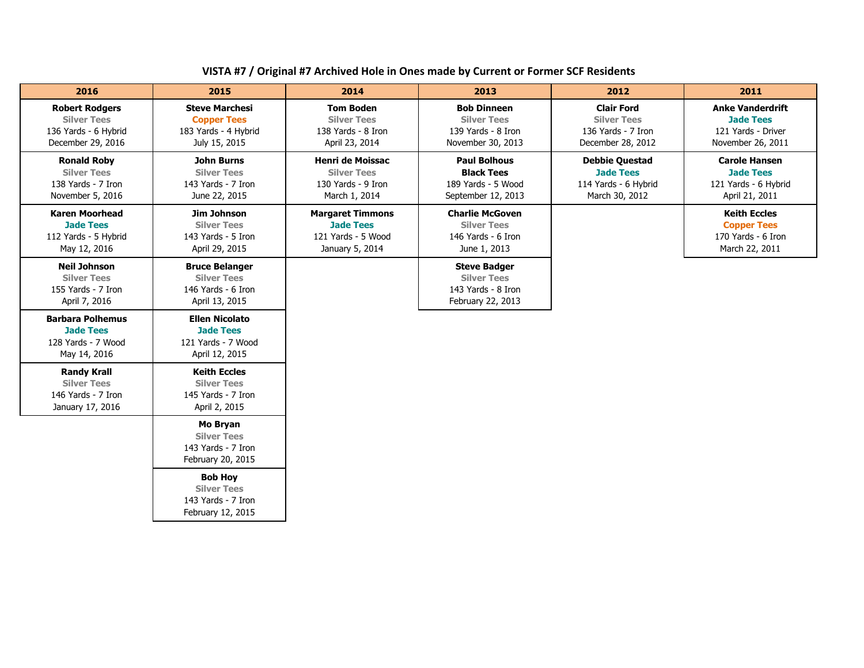## **VISTA #7 / Original #7 Archived Hole in Ones made by Current or Former SCF Residents**

| 2016                                                                                     | 2015                                                                                 | 2014                                                                                 | 2013                                                                                 | 2012                                                                                | 2011                                                                                   |
|------------------------------------------------------------------------------------------|--------------------------------------------------------------------------------------|--------------------------------------------------------------------------------------|--------------------------------------------------------------------------------------|-------------------------------------------------------------------------------------|----------------------------------------------------------------------------------------|
| <b>Robert Rodgers</b><br><b>Silver Tees</b><br>136 Yards - 6 Hybrid<br>December 29, 2016 | <b>Steve Marchesi</b><br><b>Copper Tees</b><br>183 Yards - 4 Hybrid<br>July 15, 2015 | <b>Tom Boden</b><br><b>Silver Tees</b><br>138 Yards - 8 Iron<br>April 23, 2014       | <b>Bob Dinneen</b><br><b>Silver Tees</b><br>139 Yards - 8 Iron<br>November 30, 2013  | <b>Clair Ford</b><br><b>Silver Tees</b><br>136 Yards - 7 Iron<br>December 28, 2012  | <b>Anke Vanderdrift</b><br><b>Jade Tees</b><br>121 Yards - Driver<br>November 26, 2011 |
| <b>Ronald Roby</b><br><b>Silver Tees</b><br>138 Yards - 7 Iron<br>November 5, 2016       | <b>John Burns</b><br><b>Silver Tees</b><br>143 Yards - 7 Iron<br>June 22, 2015       | <b>Henri de Moissac</b><br><b>Silver Tees</b><br>130 Yards - 9 Iron<br>March 1, 2014 | <b>Paul Bolhous</b><br><b>Black Tees</b><br>189 Yards - 5 Wood<br>September 12, 2013 | <b>Debbie Questad</b><br><b>Jade Tees</b><br>114 Yards - 6 Hybrid<br>March 30, 2012 | <b>Carole Hansen</b><br><b>Jade Tees</b><br>121 Yards - 6 Hybrid<br>April 21, 2011     |
| <b>Karen Moorhead</b><br><b>Jade Tees</b><br>112 Yards - 5 Hybrid<br>May 12, 2016        | Jim Johnson<br><b>Silver Tees</b><br>143 Yards - 5 Iron<br>April 29, 2015            | <b>Margaret Timmons</b><br><b>Jade Tees</b><br>121 Yards - 5 Wood<br>January 5, 2014 | <b>Charlie McGoven</b><br><b>Silver Tees</b><br>146 Yards - 6 Iron<br>June 1, 2013   |                                                                                     | <b>Keith Eccles</b><br><b>Copper Tees</b><br>170 Yards - 6 Iron<br>March 22, 2011      |
| <b>Neil Johnson</b><br><b>Silver Tees</b><br>155 Yards - 7 Iron<br>April 7, 2016         | <b>Bruce Belanger</b><br><b>Silver Tees</b><br>146 Yards - 6 Iron<br>April 13, 2015  |                                                                                      | <b>Steve Badger</b><br><b>Silver Tees</b><br>143 Yards - 8 Iron<br>February 22, 2013 |                                                                                     |                                                                                        |
| <b>Barbara Polhemus</b><br><b>Jade Tees</b><br>128 Yards - 7 Wood<br>May 14, 2016        | <b>Ellen Nicolato</b><br><b>Jade Tees</b><br>121 Yards - 7 Wood<br>April 12, 2015    |                                                                                      |                                                                                      |                                                                                     |                                                                                        |
| <b>Randy Krall</b><br><b>Silver Tees</b><br>146 Yards - 7 Iron<br>January 17, 2016       | <b>Keith Eccles</b><br><b>Silver Tees</b><br>145 Yards - 7 Iron<br>April 2, 2015     |                                                                                      |                                                                                      |                                                                                     |                                                                                        |
|                                                                                          | Mo Bryan<br><b>Silver Tees</b><br>143 Yards - 7 Iron<br>February 20, 2015            |                                                                                      |                                                                                      |                                                                                     |                                                                                        |
|                                                                                          | <b>Bob Hov</b><br><b>Silver Tees</b><br>143 Yards - 7 Iron<br>February 12, 2015      |                                                                                      |                                                                                      |                                                                                     |                                                                                        |